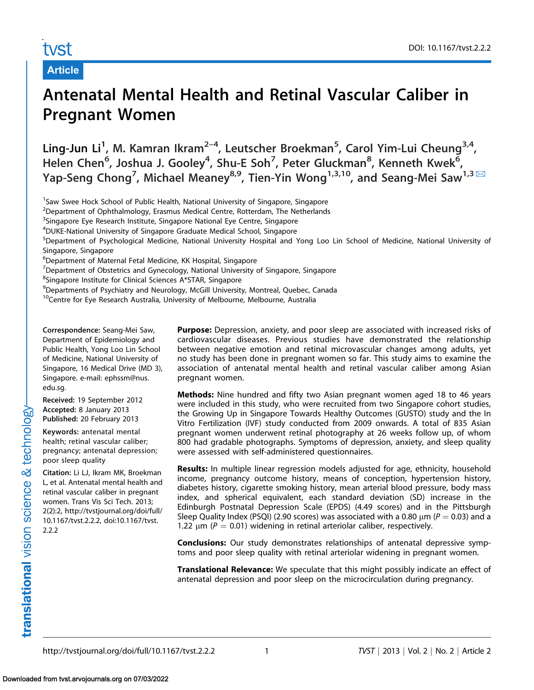# tvst

Article

# Antenatal Mental Health and Retinal Vascular Caliber in Pregnant Women

Ling-Jun Li<sup>1</sup>, M. Kamran Ikram<sup>2–4</sup>, Leutscher Broekman<sup>5</sup>, Carol Yim-Lui Cheung<sup>3,4</sup>, Helen Chen<sup>6</sup>, Joshua J. Gooley<sup>4</sup>, Shu-E Soh<sup>7</sup>, Peter Gluckman<sup>8</sup>, Kenneth Kwek<sup>6</sup>, Yap-Seng Chong<sup>7</sup>, Michael Meaney<sup>8,9</sup>, Tien-Yin Wong<sup>1,3,10</sup>, and [Seang-Mei Saw](mailto:ephssm@nus.edu.sg)<sup>1,3  $\boxtimes$ </sup>

<sup>1</sup>Saw Swee Hock School of Public Health, National University of Singapore, Singapore

<sup>2</sup>Department of Ophthalmology, Erasmus Medical Centre, Rotterdam, The Netherlands

<sup>3</sup>Singapore Eye Research Institute, Singapore National Eye Centre, Singapore

4 DUKE-National University of Singapore Graduate Medical School, Singapore

5 Department of Psychological Medicine, National University Hospital and Yong Loo Lin School of Medicine, National University of Singapore, Singapore

6 Department of Maternal Fetal Medicine, KK Hospital, Singapore

<sup>7</sup>Department of Obstetrics and Gynecology, National University of Singapore, Singapore

<sup>8</sup>Singapore Institute for Clinical Sciences A\*STAR, Singapore

9 Departments of Psychiatry and Neurology, McGill University, Montreal, Quebec, Canada

<sup>10</sup>Centre for Eye Research Australia, University of Melbourne, Melbourne, Australia

Correspondence: Seang-Mei Saw, Department of Epidemiology and Public Health, Yong Loo Lin School of Medicine, National University of Singapore, 16 Medical Drive (MD 3), Singapore. e-mail: ephssm@nus. edu.sg.

Received: 19 September 2012 Accepted: 8 January 2013 Published: 20 February 2013

Keywords: antenatal mental health; retinal vascular caliber; pregnancy; antenatal depression; poor sleep quality

Citation: [Li LJ, Ikram MK, Broekman](http://tvstjournal.org/doi/full/10.1167/tvst.2.2.2, doi:10.1167/tvst.2.2.2) [L, et al. Antenatal mental health and](http://tvstjournal.org/doi/full/10.1167/tvst.2.2.2, doi:10.1167/tvst.2.2.2) [retinal vascular caliber in pregnant](http://tvstjournal.org/doi/full/10.1167/tvst.2.2.2, doi:10.1167/tvst.2.2.2) [women. Trans Vis Sci Tech. 2013;](http://tvstjournal.org/doi/full/10.1167/tvst.2.2.2, doi:10.1167/tvst.2.2.2) [2\(2\):2, http://tvstjournal.org/doi/full/](http://tvstjournal.org/doi/full/10.1167/tvst.2.2.2, doi:10.1167/tvst.2.2.2) [10.1167/tvst.2.2.2, doi:10.1167/tvst.](http://tvstjournal.org/doi/full/10.1167/tvst.2.2.2, doi:10.1167/tvst.2.2.2) [2.2.2](http://tvstjournal.org/doi/full/10.1167/tvst.2.2.2, doi:10.1167/tvst.2.2.2)

Purpose: Depression, anxiety, and poor sleep are associated with increased risks of cardiovascular diseases. Previous studies have demonstrated the relationship between negative emotion and retinal microvascular changes among adults, yet no study has been done in pregnant women so far. This study aims to examine the association of antenatal mental health and retinal vascular caliber among Asian pregnant women.

Methods: Nine hundred and fifty two Asian pregnant women aged 18 to 46 years were included in this study, who were recruited from two Singapore cohort studies, the Growing Up in Singapore Towards Healthy Outcomes (GUSTO) study and the In Vitro Fertilization (IVF) study conducted from 2009 onwards. A total of 835 Asian pregnant women underwent retinal photography at 26 weeks follow up, of whom 800 had gradable photographs. Symptoms of depression, anxiety, and sleep quality were assessed with self-administered questionnaires.

**Results:** In multiple linear regression models adjusted for age, ethnicity, household income, pregnancy outcome history, means of conception, hypertension history, diabetes history, cigarette smoking history, mean arterial blood pressure, body mass index, and spherical equivalent, each standard deviation (SD) increase in the Edinburgh Postnatal Depression Scale (EPDS) (4.49 scores) and in the Pittsburgh Sleep Quality Index (PSQI) (2.90 scores) was associated with a 0.80  $\mu$ m (P = 0.03) and a 1.22  $\mu$ m (P = 0.01) widening in retinal arteriolar caliber, respectively.

**Conclusions:** Our study demonstrates relationships of antenatal depressive symptoms and poor sleep quality with retinal arteriolar widening in pregnant women.

**Translational Relevance:** We speculate that this might possibly indicate an effect of antenatal depression and poor sleep on the microcirculation during pregnancy.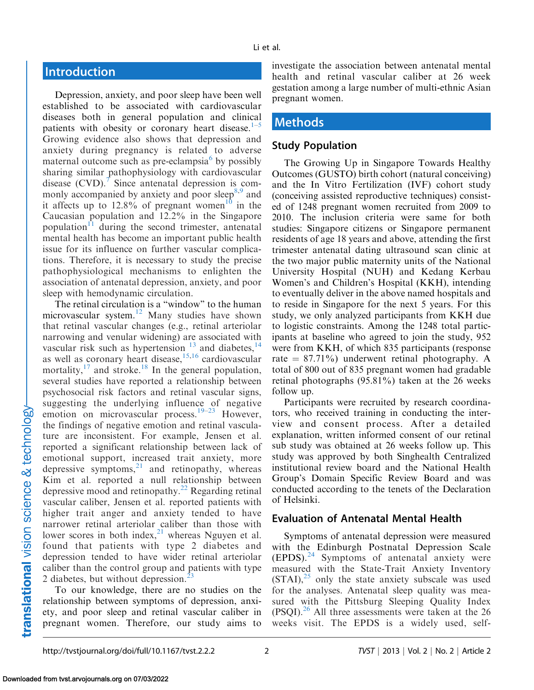# **Introduction**

Depression, anxiety, and poor sleep have been well established to be associated with cardiovascular diseases both in general population and clinical patients with obesity or coronary heart disease. $1-5$ Growing evidence also shows that depression and anxiety during pregnancy is related to adverse maternal outcome such as pre-eclampsia $\delta$  by possibly sharing similar pathophysiology with cardiovascular disease  $(CVD)$ .<sup>[7](#page-8-0)</sup> Since antenatal depression is commonly accompanied by anxiety and poor sleep<sup>8,9</sup> and it affects up to 12.8% of pregnant women<sup>10</sup> in the Caucasian population and 12.2% in the Singapore population<sup>11</sup> during the second trimester, antenatal mental health has become an important public health issue for its influence on further vascular complications. Therefore, it is necessary to study the precise pathophysiological mechanisms to enlighten the association of antenatal depression, anxiety, and poor sleep with hemodynamic circulation.

The retinal circulation is a "window" to the human microvascular system.<sup>12</sup> Many studies have shown that retinal vascular changes (e.g., retinal arteriolar narrowing and venular widening) are associated with vascular risk such as hypertension  $13$  and diabetes,  $14$ as well as coronary heart disease, $15,16$  $15,16$  cardiovascular mortality,  $17$  and stroke.<sup>[18](#page-8-0)</sup> In the general population, several studies have reported a relationship between psychosocial risk factors and retinal vascular signs, suggesting the underlying influence of negative emotion on microvascular process.<sup>[19–23](#page-8-0)</sup> However, the findings of negative emotion and retinal vasculature are inconsistent. For example, Jensen et al. reported a significant relationship between lack of emotional support, increased trait anxiety, more depressive symptoms, $21$  and retinopathy, whereas Kim et al. reported a null relationship between depressive mood and retinopathy.<sup>22</sup> Regarding retinal vascular caliber, Jensen et al. reported patients with higher trait anger and anxiety tended to have narrower retinal arteriolar caliber than those with lower scores in both index, $2<sup>1</sup>$  whereas Nguyen et al. found that patients with type 2 diabetes and depression tended to have wider retinal arteriolar caliber than the control group and patients with type 2 diabetes, but without depression.<sup>2</sup>

To our knowledge, there are no studies on the relationship between symptoms of depression, anxiety, and poor sleep and retinal vascular caliber in pregnant women. Therefore, our study aims to

investigate the association between antenatal mental health and retinal vascular caliber at 26 week gestation among a large number of multi-ethnic Asian pregnant women.

## Methods

#### Study Population

The Growing Up in Singapore Towards Healthy Outcomes (GUSTO) birth cohort (natural conceiving) and the In Vitro Fertilization (IVF) cohort study (conceiving assisted reproductive techniques) consisted of 1248 pregnant women recruited from 2009 to 2010. The inclusion criteria were same for both studies: Singapore citizens or Singapore permanent residents of age 18 years and above, attending the first trimester antenatal dating ultrasound scan clinic at the two major public maternity units of the National University Hospital (NUH) and Kedang Kerbau Women's and Children's Hospital (KKH), intending to eventually deliver in the above named hospitals and to reside in Singapore for the next 5 years. For this study, we only analyzed participants from KKH due to logistic constraints. Among the 1248 total participants at baseline who agreed to join the study, 952 were from KKH, of which 835 participants (response rate  $= 87.71\%$ ) underwent retinal photography. A total of 800 out of 835 pregnant women had gradable retinal photographs (95.81%) taken at the 26 weeks follow up.

Participants were recruited by research coordinators, who received training in conducting the interview and consent process. After a detailed explanation, written informed consent of our retinal sub study was obtained at 26 weeks follow up. This study was approved by both Singhealth Centralized institutional review board and the National Health Group's Domain Specific Review Board and was conducted according to the tenets of the Declaration of Helsinki.

#### Evaluation of Antenatal Mental Health

Symptoms of antenatal depression were measured with the Edinburgh Postnatal Depression Scale (EPDS).[24](#page-8-0) Symptoms of antenatal anxiety were measured with the State-Trait Anxiety Inventory  $(STAI)$ ,  $^{25}$  only the state anxiety subscale was used for the analyses. Antenatal sleep quality was measured with the Pittsburg Sleeping Quality Index  $(PSQI).<sup>26</sup>$  All three assessments were taken at the 26 weeks visit. The EPDS is a widely used, self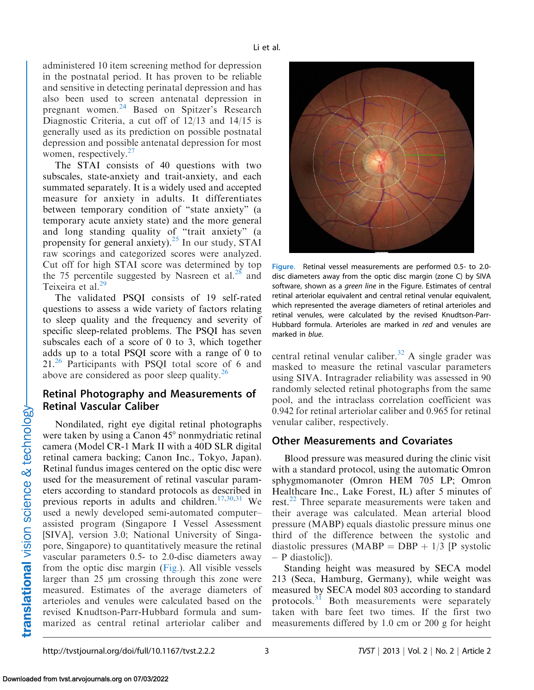administered 10 item screening method for depression in the postnatal period. It has proven to be reliable and sensitive in detecting perinatal depression and has also been used to screen antenatal depression in pregnant women.<sup>[24](#page-8-0)</sup> Based on Spitzer's Research Diagnostic Criteria, a cut off of 12/13 and 14/15 is generally used as its prediction on possible postnatal depression and possible antenatal depression for most women, respectively.<sup>27</sup>

The STAI consists of 40 questions with two subscales, state-anxiety and trait-anxiety, and each summated separately. It is a widely used and accepted measure for anxiety in adults. It differentiates between temporary condition of ''state anxiety'' (a temporary acute anxiety state) and the more general and long standing quality of ''trait anxiety'' (a propensity for general anxiety).<sup>25</sup> In our study, STAI raw scorings and categorized scores were analyzed. Cut off for high STAI score was determined by top the 75 percentile suggested by Nasreen et al. $^{28}$  and Teixeira et al.<sup>29</sup>

The validated PSQI consists of 19 self-rated questions to assess a wide variety of factors relating to sleep quality and the frequency and severity of specific sleep-related problems. The PSQI has seven subscales each of a score of 0 to 3, which together adds up to a total PSQI score with a range of 0 to 21.<sup>[26](#page-9-0)</sup> Participants with PSQI total score of 6 and above are considered as poor sleep quality. $26$ 

### Retinal Photography and Measurements of Retinal Vascular Caliber

Nondilated, right eye digital retinal photographs were taken by using a Canon  $45^{\circ}$  nonmydriatic retinal camera (Model CR-1 Mark II with a 40D SLR digital retinal camera backing; Canon Inc., Tokyo, Japan). Retinal fundus images centered on the optic disc were used for the measurement of retinal vascular parameters according to standard protocols as described in previous reports in adults and children.<sup>17,[30,31](#page-9-0)</sup> We used a newly developed semi-automated computer– assisted program (Singapore I Vessel Assessment [SIVA], version 3.0; National University of Singapore, Singapore) to quantitatively measure the retinal vascular parameters 0.5- to 2.0-disc diameters away from the optic disc margin (Fig.). All visible vessels larger than  $25 \mu m$  crossing through this zone were measured. Estimates of the average diameters of arterioles and venules were calculated based on the revised Knudtson-Parr-Hubbard formula and summarized as central retinal arteriolar caliber and



Figure. Retinal vessel measurements are performed 0.5- to 2.0 disc diameters away from the optic disc margin (zone C) by SIVA software, shown as a green line in the Figure. Estimates of central retinal arteriolar equivalent and central retinal venular equivalent, which represented the average diameters of retinal arterioles and retinal venules, were calculated by the revised Knudtson-Parr-Hubbard formula. Arterioles are marked in red and venules are marked in blue.

central retinal venular caliber.<sup>[32](#page-9-0)</sup> A single grader was masked to measure the retinal vascular parameters using SIVA. Intragrader reliability was assessed in 90 randomly selected retinal photographs from the same pool, and the intraclass correlation coefficient was 0.942 for retinal arteriolar caliber and 0.965 for retinal venular caliber, respectively.

### Other Measurements and Covariates

Blood pressure was measured during the clinic visit with a standard protocol, using the automatic Omron sphygmomanoter (Omron HEM 705 LP; Omron Healthcare Inc., Lake Forest, IL) after 5 minutes of rest.<sup>[22](#page-8-0)</sup> Three separate measurements were taken and their average was calculated. Mean arterial blood pressure (MABP) equals diastolic pressure minus one third of the difference between the systolic and diastolic pressures (MABP = DBP +  $1/3$  [P systolic - P diastolic]).

Standing height was measured by SECA model 213 (Seca, Hamburg, Germany), while weight was measured by SECA model 803 according to standard protocols.<sup>[31](#page-9-0)</sup> Both measurements were separately taken with bare feet two times. If the first two measurements differed by 1.0 cm or 200 g for height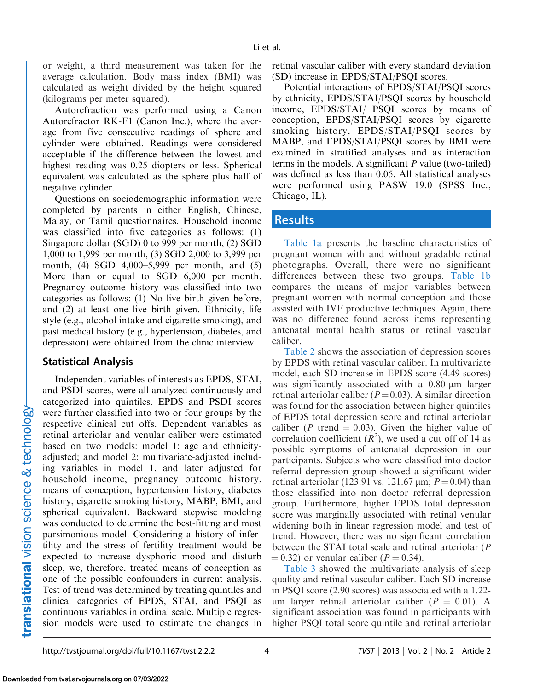or weight, a third measurement was taken for the average calculation. Body mass index (BMI) was calculated as weight divided by the height squared (kilograms per meter squared).

Autorefraction was performed using a Canon Autorefractor RK-F1 (Canon Inc.), where the average from five consecutive readings of sphere and cylinder were obtained. Readings were considered acceptable if the difference between the lowest and highest reading was 0.25 diopters or less. Spherical equivalent was calculated as the sphere plus half of negative cylinder.

Questions on sociodemographic information were completed by parents in either English, Chinese, Malay, or Tamil questionnaires. Household income was classified into five categories as follows: (1) Singapore dollar (SGD) 0 to 999 per month, (2) SGD 1,000 to 1,999 per month, (3) SGD 2,000 to 3,999 per month, (4) SGD 4,000–5,999 per month, and (5) More than or equal to SGD 6,000 per month. Pregnancy outcome history was classified into two categories as follows: (1) No live birth given before, and (2) at least one live birth given. Ethnicity, life style (e.g., alcohol intake and cigarette smoking), and past medical history (e.g., hypertension, diabetes, and depression) were obtained from the clinic interview.

#### Statistical Analysis

Independent variables of interests as EPDS, STAI, and PSDI scores, were all analyzed continuously and categorized into quintiles. EPDS and PSDI scores were further classified into two or four groups by the respective clinical cut offs. Dependent variables as retinal arteriolar and venular caliber were estimated based on two models: model 1: age and ethnicityadjusted; and model 2: multivariate-adjusted including variables in model 1, and later adjusted for household income, pregnancy outcome history, means of conception, hypertension history, diabetes history, cigarette smoking history, MABP, BMI, and spherical equivalent. Backward stepwise modeling was conducted to determine the best-fitting and most parsimonious model. Considering a history of infertility and the stress of fertility treatment would be expected to increase dysphoric mood and disturb sleep, we, therefore, treated means of conception as one of the possible confounders in current analysis. Test of trend was determined by treating quintiles and clinical categories of EPDS, STAI, and PSQI as continuous variables in ordinal scale. Multiple regression models were used to estimate the changes in

retinal vascular caliber with every standard deviation (SD) increase in EPDS/STAI/PSQI scores.

Potential interactions of EPDS/STAI/PSQI scores by ethnicity, EPDS/STAI/PSQI scores by household income, EPDS/STAI/ PSQI scores by means of conception, EPDS/STAI/PSQI scores by cigarette smoking history, EPDS/STAI/PSQI scores by MABP, and EPDS/STAI/PSQI scores by BMI were examined in stratified analyses and as interaction terms in the models. A significant  $P$  value (two-tailed) was defined as less than 0.05. All statistical analyses were performed using PASW 19.0 (SPSS Inc., Chicago, IL).

### Results

[Table 1a](#page-4-0) presents the baseline characteristics of pregnant women with and without gradable retinal photographs. Overall, there were no significant differences between these two groups. [Table 1b](#page-4-0) compares the means of major variables between pregnant women with normal conception and those assisted with IVF productive techniques. Again, there was no difference found across items representing antenatal mental health status or retinal vascular caliber.

[Table 2](#page-5-0) shows the association of depression scores by EPDS with retinal vascular caliber. In multivariate model, each SD increase in EPDS score (4.49 scores) was significantly associated with a  $0.80$ - $\mu$ m larger retinal arteriolar caliber ( $P = 0.03$ ). A similar direction was found for the association between higher quintiles of EPDS total depression score and retinal arteriolar caliber (P trend  $= 0.03$ ). Given the higher value of correlation coefficient  $(R^2)$ , we used a cut off of 14 as possible symptoms of antenatal depression in our participants. Subjects who were classified into doctor referral depression group showed a significant wider retinal arteriolar (123.91 vs. 121.67  $\mu$ m;  $P = 0.04$ ) than those classified into non doctor referral depression group. Furthermore, higher EPDS total depression score was marginally associated with retinal venular widening both in linear regression model and test of trend. However, there was no significant correlation between the STAI total scale and retinal arteriolar (P  $(0.32)$  or venular caliber ( $P = 0.34$ ).

[Table 3](#page-6-0) showed the multivariate analysis of sleep quality and retinal vascular caliber. Each SD increase in PSQI score (2.90 scores) was associated with a 1.22-  $\mu$ m larger retinal arteriolar caliber ( $P = 0.01$ ). A significant association was found in participants with higher PSQI total score quintile and retinal arteriolar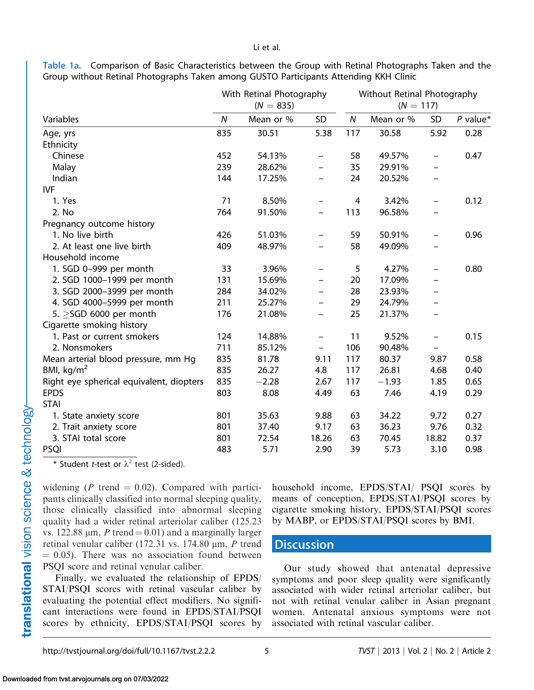<span id="page-4-0"></span>Table 1a. Comparison of Basic Characteristics between the Group with Retinal Photographs Taken and the Group without Retinal Photographs Taken among GUSTO Participants Attending KKH Clinic

|                                          |     | With Retinal Photography<br>$(N = 835)$ | Without Retinal Photography<br>$(N = 117)$ |     |           |                          |            |  |
|------------------------------------------|-----|-----------------------------------------|--------------------------------------------|-----|-----------|--------------------------|------------|--|
| Variables                                |     | Mean or %                               | <b>SD</b>                                  | N   | Mean or % | SD                       | $P$ value* |  |
| Age, yrs                                 | 835 | 30.51                                   | 5.38                                       | 117 | 30.58     | 5.92                     | 0.28       |  |
| Ethnicity                                |     |                                         |                                            |     |           |                          |            |  |
| Chinese                                  | 452 | 54.13%                                  | $\qquad \qquad -$                          | 58  | 49.57%    | $\qquad \qquad -$        | 0.47       |  |
| Malay                                    | 239 | 28.62%                                  | $\qquad \qquad -$                          | 35  | 29.91%    | $\overline{\phantom{0}}$ |            |  |
| Indian                                   | 144 | 17.25%                                  |                                            | 24  | 20.52%    |                          |            |  |
| <b>IVF</b>                               |     |                                         |                                            |     |           |                          |            |  |
| 1. Yes                                   | 71  | 8.50%                                   | $\overline{\phantom{0}}$                   | 4   | 3.42%     | $\overline{\phantom{0}}$ | 0.12       |  |
| 2. No                                    | 764 | 91.50%                                  | $\qquad \qquad$                            | 113 | 96.58%    | $\qquad \qquad$          |            |  |
| Pregnancy outcome history                |     |                                         |                                            |     |           |                          |            |  |
| 1. No live birth                         | 426 | 51.03%                                  | $\overline{\phantom{0}}$                   | 59  | 50.91%    | $\overline{\phantom{0}}$ | 0.96       |  |
| 2. At least one live birth               | 409 | 48.97%                                  |                                            | 58  | 49.09%    |                          |            |  |
| Household income                         |     |                                         |                                            |     |           |                          |            |  |
| 1. SGD 0-999 per month                   | 33  | 3.96%                                   | $\qquad \qquad -$                          | 5   | 4.27%     | $\overline{\phantom{0}}$ | 0.80       |  |
| 2. SGD 1000-1999 per month               | 131 | 15.69%                                  |                                            | 20  | 17.09%    |                          |            |  |
| 3. SGD 2000-3999 per month               | 284 | 34.02%                                  |                                            | 28  | 23.93%    | $\overline{\phantom{0}}$ |            |  |
| 4. SGD 4000-5999 per month               | 211 | 25.27%                                  |                                            | 29  | 24.79%    |                          |            |  |
| 5. $\geq$ SGD 6000 per month             | 176 | 21.08%                                  |                                            | 25  | 21.37%    |                          |            |  |
| Cigarette smoking history                |     |                                         |                                            |     |           |                          |            |  |
| 1. Past or current smokers               | 124 | 14.88%                                  | $\qquad \qquad -$                          | 11  | 9.52%     |                          | 0.15       |  |
| 2. Nonsmokers                            | 711 | 85.12%                                  | $\qquad \qquad -$                          | 106 | 90.48%    | $\overline{\phantom{0}}$ |            |  |
| Mean arterial blood pressure, mm Hg      | 835 | 81.78                                   | 9.11                                       | 117 | 80.37     | 9.87                     | 0.58       |  |
| BMI, kg/m <sup>2</sup>                   | 835 | 26.27                                   | 4.8                                        | 117 | 26.81     | 4.68                     | 0.40       |  |
| Right eye spherical equivalent, diopters | 835 | $-2.28$                                 | 2.67                                       | 117 | $-1.93$   | 1.85                     | 0.65       |  |
| <b>EPDS</b>                              | 803 | 8.08                                    | 4.49                                       | 63  | 7.46      | 4.19                     | 0.29       |  |
| <b>STAI</b>                              |     |                                         |                                            |     |           |                          |            |  |
| 1. State anxiety score                   | 801 | 35.63                                   | 9.88                                       | 63  | 34.22     | 9.72                     | 0.27       |  |
| 2. Trait anxiety score                   | 801 | 37.40                                   | 9.17                                       | 63  | 36.23     | 9.76                     | 0.32       |  |
| 3. STAI total score                      | 801 | 72.54                                   | 18.26                                      | 63  | 70.45     | 18.82                    | 0.37       |  |
| <b>PSQI</b>                              | 483 | 5.71                                    | 2.90                                       | 39  | 5.73      | 3.10                     | 0.98       |  |

\* Student *t*-test or  $\lambda^2$  $\lambda^2$  test (2-sided).

widening (P trend  $= 0.02$ ). Compared with participants clinically classified into normal sleeping quality, those clinically classified into abnormal sleeping quality had a wider retinal arteriolar caliber (125.23 vs. 122.88  $\mu$ m, P trend = 0.01) and a marginally larger retinal venular caliber (172.31 vs. 174.80  $\mu$ m, P trend  $= 0.05$ ). There was no association found between PSQI score and retinal venular caliber.

Finally, we evaluated the relationship of EPDS/ STAI/PSQI scores with retinal vascular caliber by evaluating the potential effect modifiers. No significant interactions were found in EPDS/STAI/PSQI scores by ethnicity, EPDS/STAI/PSQI scores by

household income, EPDS/STAI/ PSQI scores by means of conception, EPDS/STAI/PSQI scores by cigarette smoking history, EPDS/STAI/PSQI scores by MABP, or EPDS/STAI/PSQI scores by BMI.

## **Discussion**

Our study showed that antenatal depressive symptoms and poor sleep quality were significantly associated with wider retinal arteriolar caliber, but not with retinal venular caliber in Asian pregnant women. Antenatal anxious symptoms were not associated with retinal vascular caliber.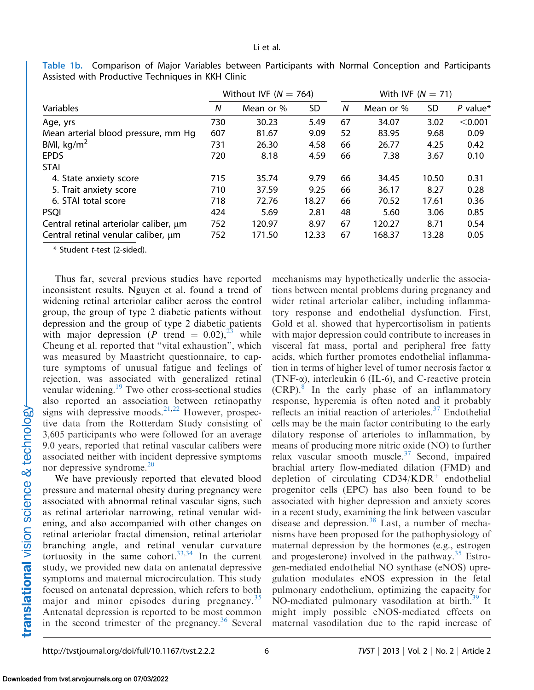|                                        |     | Without IVF ( $N = 764$ ) |       | With IVF $(N = 71)$ |           |       |            |  |
|----------------------------------------|-----|---------------------------|-------|---------------------|-----------|-------|------------|--|
| Variables                              |     | Mean or %                 | SD    | N                   | Mean or % | SD.   | $P$ value* |  |
| Age, yrs                               | 730 | 30.23                     | 5.49  | 67                  | 34.07     | 3.02  | < 0.001    |  |
| Mean arterial blood pressure, mm Hq    | 607 | 81.67                     | 9.09  | 52                  | 83.95     | 9.68  | 0.09       |  |
| BMI, $kg/m2$                           | 731 | 26.30                     | 4.58  | 66                  | 26.77     | 4.25  | 0.42       |  |
| <b>EPDS</b>                            | 720 | 8.18                      | 4.59  | 66                  | 7.38      | 3.67  | 0.10       |  |
| <b>STAI</b>                            |     |                           |       |                     |           |       |            |  |
| 4. State anxiety score                 | 715 | 35.74                     | 9.79  | 66                  | 34.45     | 10.50 | 0.31       |  |
| 5. Trait anxiety score                 | 710 | 37.59                     | 9.25  | 66                  | 36.17     | 8.27  | 0.28       |  |
| 6. STAI total score                    | 718 | 72.76                     | 18.27 | 66                  | 70.52     | 17.61 | 0.36       |  |
| <b>PSQI</b>                            | 424 | 5.69                      | 2.81  | 48                  | 5.60      | 3.06  | 0.85       |  |
| Central retinal arteriolar caliber, um | 752 | 120.97                    | 8.97  | 67                  | 120.27    | 8.71  | 0.54       |  |
| Central retinal venular caliber, um    | 752 | 171.50                    | 12.33 | 67                  | 168.37    | 13.28 | 0.05       |  |

<span id="page-5-0"></span>Table 1b. Comparison of Major Variables between Participants with Normal Conception and Participants Assisted with Productive Techniques in KKH Clinic

\* Student t-test (2-sided).

Thus far, several previous studies have reported inconsistent results. Nguyen et al. found a trend of widening retinal arteriolar caliber across the control group, the group of type 2 diabetic patients without depression and the group of type 2 diabetic patients with major depression (P trend  $= 0.02$ ), while Cheung et al. reported that ''vital exhaustion'', which was measured by Maastricht questionnaire, to capture symptoms of unusual fatigue and feelings of rejection, was associated with generalized retinal venular widening[.19](#page-8-0) Two other cross-sectional studies also reported an association between retinopathy signs with depressive moods.<sup>21,22</sup> However, prospective data from the Rotterdam Study consisting of 3,605 participants who were followed for an average 9.0 years, reported that retinal vascular calibers were associated neither with incident depressive symptoms nor depressive syndrome.<sup>[20](#page-8-0)</sup>

We have previously reported that elevated blood pressure and maternal obesity during pregnancy were associated with abnormal retinal vascular signs, such as retinal arteriolar narrowing, retinal venular widening, and also accompanied with other changes on retinal arteriolar fractal dimension, retinal arteriolar branching angle, and retinal venular curvature tortuosity in the same cohort.<sup>[33,34](#page-9-0)</sup> In the current study, we provided new data on antenatal depressive symptoms and maternal microcirculation. This study focused on antenatal depression, which refers to both major and minor episodes during pregnancy.<sup>[35](#page-9-0)</sup> Antenatal depression is reported to be most common in the second trimester of the pregnancy.<sup>[36](#page-9-0)</sup> Several

mechanisms may hypothetically underlie the associations between mental problems during pregnancy and wider retinal arteriolar caliber, including inflammatory response and endothelial dysfunction. First, Gold et al. showed that hypercortisolism in patients with major depression could contribute to increases in visceral fat mass, portal and peripheral free fatty acids, which further promotes endothelial inflammation in terms of higher level of tumor necrosis factor  $\alpha$ (TNF- $\alpha$ ), interleukin 6 (IL-6), and C-reactive protein  $(CRP)$ .<sup>[8](#page-8-0)</sup> In the early phase of an inflammatory response, hyperemia is often noted and it probably reflects an initial reaction of arterioles.<sup>[37](#page-9-0)</sup> Endothelial cells may be the main factor contributing to the early dilatory response of arterioles to inflammation, by means of producing more nitric oxide (NO) to further relax vascular smooth muscle. $37$  Second, impaired brachial artery flow-mediated dilation (FMD) and depletion of circulating  $CD34/KDR<sup>+</sup>$  endothelial progenitor cells (EPC) has also been found to be associated with higher depression and anxiety scores in a recent study, examining the link between vascular disease and depression.<sup>38</sup> Last, a number of mechanisms have been proposed for the pathophysiology of maternal depression by the hormones (e.g., estrogen and progesterone) involved in the pathway. $35$  Estrogen-mediated endothelial NO synthase (eNOS) upregulation modulates eNOS expression in the fetal pulmonary endothelium, optimizing the capacity for NO-mediated pulmonary vasodilation at birth.<sup>39</sup> It might imply possible eNOS-mediated effects on maternal vasodilation due to the rapid increase of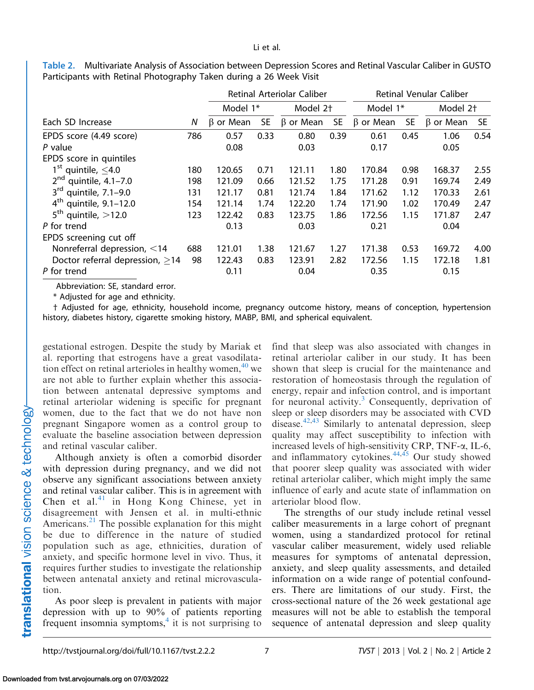<span id="page-6-0"></span>Table 2. Multivariate Analysis of Association between Depression Scores and Retinal Vascular Caliber in GUSTO Participants with Retinal Photography Taken during a 26 Week Visit

|                                       |     |                 |           | Retinal Arteriolar Caliber | <b>Retinal Venular Caliber</b> |                 |           |                      |      |
|---------------------------------------|-----|-----------------|-----------|----------------------------|--------------------------------|-----------------|-----------|----------------------|------|
|                                       |     | Model 1*        |           | Model 2 <sup>+</sup>       |                                | Model 1*        |           | Model 2 <sup>+</sup> |      |
| Each SD Increase                      | N   | $\beta$ or Mean | <b>SE</b> | $\beta$ or Mean            | <b>SE</b>                      | $\beta$ or Mean | <b>SE</b> | $\beta$ or Mean      | SE.  |
| EPDS score (4.49 score)               | 786 | 0.57            | 0.33      | 0.80                       | 0.39                           | 0.61            | 0.45      | 1.06                 | 0.54 |
| P value                               |     | 0.08            |           | 0.03                       |                                | 0.17            |           | 0.05                 |      |
| EPDS score in quintiles               |     |                 |           |                            |                                |                 |           |                      |      |
| $1^{\text{st}}$ quintile, $\leq$ 4.0  | 180 | 120.65          | 0.71      | 121.11                     | 1.80                           | 170.84          | 0.98      | 168.37               | 2.55 |
| $2^{\text{nd}}$<br>quintile, 4.1-7.0  | 198 | 121.09          | 0.66      | 121.52                     | 1.75                           | 171.28          | 0.91      | 169.74               | 2.49 |
| $3^{\text{rd}}$<br>quintile, 7.1-9.0  | 131 | 121.17          | 0.81      | 121.74                     | 1.84                           | 171.62          | 1.12      | 170.33               | 2.61 |
| 4 <sup>th</sup><br>quintile, 9.1-12.0 | 154 | 121.14          | 1.74      | 122.20                     | 1.74                           | 171.90          | 1.02      | 170.49               | 2.47 |
| $5^{\text{th}}$<br>quintile, $>12.0$  | 123 | 122.42          | 0.83      | 123.75                     | 1.86                           | 172.56          | 1.15      | 171.87               | 2.47 |
| P for trend                           |     | 0.13            |           | 0.03                       |                                | 0.21            |           | 0.04                 |      |
| EPDS screening cut off                |     |                 |           |                            |                                |                 |           |                      |      |
| Nonreferral depression, <14           | 688 | 121.01          | 1.38      | 121.67                     | 1.27                           | 171.38          | 0.53      | 169.72               | 4.00 |
| Doctor referral depression, $\geq$ 14 | 98  | 122.43          | 0.83      | 123.91                     | 2.82                           | 172.56          | 1.15      | 172.18               | 1.81 |
| P for trend                           |     | 0.11            |           | 0.04                       |                                | 0.35            |           | 0.15                 |      |

Abbreviation: SE, standard error.

\* Adjusted for age and ethnicity.

† Adjusted for age, ethnicity, household income, pregnancy outcome history, means of conception, hypertension history, diabetes history, cigarette smoking history, MABP, BMI, and spherical equivalent.

gestational estrogen. Despite the study by Mariak et al. reporting that estrogens have a great vasodilatation effect on retinal arterioles in healthy women,  $40$  we are not able to further explain whether this association between antenatal depressive symptoms and retinal arteriolar widening is specific for pregnant women, due to the fact that we do not have non pregnant Singapore women as a control group to evaluate the baseline association between depression and retinal vascular caliber.

Although anxiety is often a comorbid disorder with depression during pregnancy, and we did not observe any significant associations between anxiety and retinal vascular caliber. This is in agreement with Chen et al.<sup>[41](#page-9-0)</sup> in Hong Kong Chinese, yet in disagreement with Jensen et al. in multi-ethnic Americans.<sup>[21](#page-8-0)</sup> The possible explanation for this might be due to difference in the nature of studied population such as age, ethnicities, duration of anxiety, and specific hormone level in vivo. Thus, it requires further studies to investigate the relationship between antenatal anxiety and retinal microvasculation.

As poor sleep is prevalent in patients with major depression with up to 90% of patients reporting frequent insomnia symptoms, $<sup>4</sup>$  $<sup>4</sup>$  $<sup>4</sup>$  it is not surprising to</sup>

find that sleep was also associated with changes in retinal arteriolar caliber in our study. It has been shown that sleep is crucial for the maintenance and restoration of homeostasis through the regulation of energy, repair and infection control, and is important for neuronal activity.<sup>3</sup> Consequently, deprivation of sleep or sleep disorders may be associated with CVD disease.<sup>[42,43](#page-9-0)</sup> Similarly to antenatal depression, sleep quality may affect susceptibility to infection with increased levels of high-sensitivity CRP, TNF-a, IL-6, and inflammatory cytokines.<sup>44,45</sup> Our study showed that poorer sleep quality was associated with wider retinal arteriolar caliber, which might imply the same influence of early and acute state of inflammation on arteriolar blood flow.

The strengths of our study include retinal vessel caliber measurements in a large cohort of pregnant women, using a standardized protocol for retinal vascular caliber measurement, widely used reliable measures for symptoms of antenatal depression, anxiety, and sleep quality assessments, and detailed information on a wide range of potential confounders. There are limitations of our study. First, the cross-sectional nature of the 26 week gestational age measures will not be able to establish the temporal sequence of antenatal depression and sleep quality

Downloaded from tvst.arvojournals.org on 07/03/2022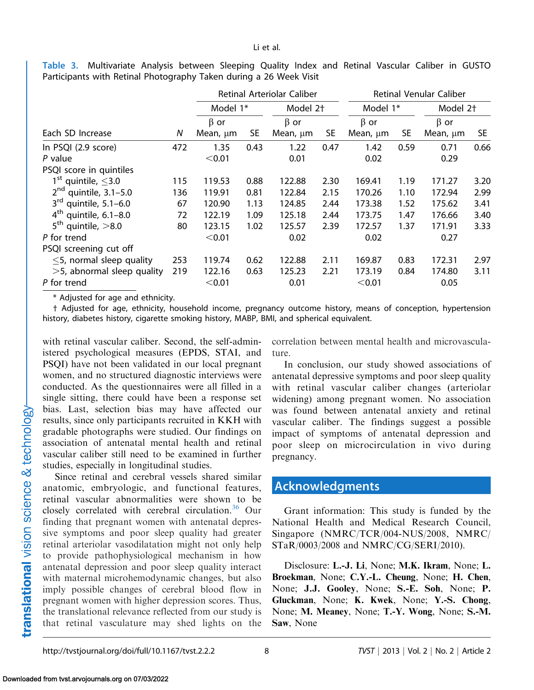Table 3. Multivariate Analysis between Sleeping Quality Index and Retinal Vascular Caliber in GUSTO Participants with Retinal Photography Taken during a 26 Week Visit

|                                      |     | Retinal Arteriolar Caliber |            |                      |      | Retinal Venular Caliber |      |                      |      |
|--------------------------------------|-----|----------------------------|------------|----------------------|------|-------------------------|------|----------------------|------|
|                                      |     | Model 1*                   |            | Model 2 <sup>+</sup> |      | Model 1*                |      | Model 2 <sup>+</sup> |      |
|                                      |     | $\beta$ or                 | $\beta$ or |                      |      | $\beta$ or              |      | $\beta$ or           |      |
| Each SD Increase                     | Ν   | Mean, µm                   | <b>SE</b>  | Mean, µm             | SE   | Mean, µm                | SE   | Mean, µm             | SE   |
| In PSQI (2.9 score)                  | 472 | 1.35                       | 0.43       | 1.22                 | 0.47 | 1.42                    | 0.59 | 0.71                 | 0.66 |
| $P$ value                            |     | < 0.01                     |            | 0.01                 |      | 0.02                    |      | 0.29                 |      |
| PSQI score in quintiles              |     |                            |            |                      |      |                         |      |                      |      |
| $1^{\rm st}$<br>quintile, $\leq$ 3.0 | 115 | 119.53                     | 0.88       | 122.88               | 2.30 | 169.41                  | 1.19 | 171.27               | 3.20 |
| $2^{nd}$<br>quintile, 3.1-5.0        | 136 | 119.91                     | 0.81       | 122.84               | 2.15 | 170.26                  | 1.10 | 172.94               | 2.99 |
| $3^{\text{rd}}$<br>quintile, 5.1-6.0 | 67  | 120.90                     | 1.13       | 124.85               | 2.44 | 173.38                  | 1.52 | 175.62               | 3.41 |
| 4 <sup>th</sup><br>quintile, 6.1-8.0 | 72  | 122.19                     | 1.09       | 125.18               | 2.44 | 173.75                  | 1.47 | 176.66               | 3.40 |
| $5^{\text{th}}$<br>quintile, $>8.0$  | 80  | 123.15                     | 1.02       | 125.57               | 2.39 | 172.57                  | 1.37 | 171.91               | 3.33 |
| P for trend                          |     | < 0.01                     |            | 0.02                 |      | 0.02                    |      | 0.27                 |      |
| PSQI screening cut off               |     |                            |            |                      |      |                         |      |                      |      |
| $\leq$ 5, normal sleep quality       | 253 | 119.74                     | 0.62       | 122.88               | 2.11 | 169.87                  | 0.83 | 172.31               | 2.97 |
| $>5$ , abnormal sleep quality        | 219 | 122.16                     | 0.63       | 125.23               | 2.21 | 173.19                  | 0.84 | 174.80               | 3.11 |
| P for trend                          |     | < 0.01                     |            | 0.01                 |      | < 0.01                  |      | 0.05                 |      |

\* Adjusted for age and ethnicity.

† Adjusted for age, ethnicity, household income, pregnancy outcome history, means of conception, hypertension history, diabetes history, cigarette smoking history, MABP, BMI, and spherical equivalent.

with retinal vascular caliber. Second, the self-administered psychological measures (EPDS, STAI, and PSQI) have not been validated in our local pregnant women, and no structured diagnostic interviews were conducted. As the questionnaires were all filled in a single sitting, there could have been a response set bias. Last, selection bias may have affected our results, since only participants recruited in KKH with gradable photographs were studied. Our findings on association of antenatal mental health and retinal vascular caliber still need to be examined in further studies, especially in longitudinal studies.

Since retinal and cerebral vessels shared similar anatomic, embryologic, and functional features, retinal vascular abnormalities were shown to be closely correlated with cerebral circulation.<sup>36</sup> Our finding that pregnant women with antenatal depressive symptoms and poor sleep quality had greater retinal arteriolar vasodilatation might not only help to provide pathophysiological mechanism in how antenatal depression and poor sleep quality interact with maternal microhemodynamic changes, but also imply possible changes of cerebral blood flow in pregnant women with higher depression scores. Thus, the translational relevance reflected from our study is that retinal vasculature may shed lights on the correlation between mental health and microvasculature.

In conclusion, our study showed associations of antenatal depressive symptoms and poor sleep quality with retinal vascular caliber changes (arteriolar widening) among pregnant women. No association was found between antenatal anxiety and retinal vascular caliber. The findings suggest a possible impact of symptoms of antenatal depression and poor sleep on microcirculation in vivo during pregnancy.

## Acknowledgments

Grant information: This study is funded by the National Health and Medical Research Council, Singapore (NMRC/TCR/004-NUS/2008, NMRC/ STaR/0003/2008 and NMRC/CG/SERI/2010).

Disclosure: L.-J. Li, None; M.K. Ikram, None; L. Broekman, None; C.Y.-L. Cheung, None; H. Chen, None; J.J. Gooley, None; S.-E. Soh, None; P. Gluckman, None; K. Kwek, None; Y.-S. Chong, None; M. Meaney, None; T.-Y. Wong, None; S.-M. Saw, None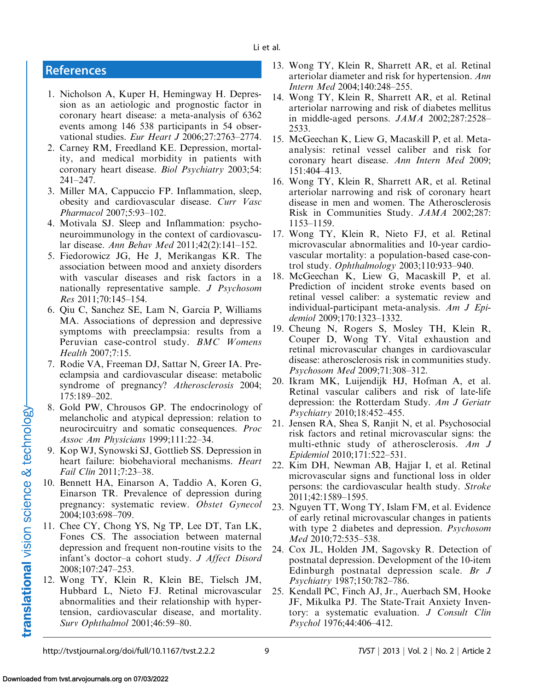# <span id="page-8-0"></span>**References**

- 1. Nicholson A, Kuper H, Hemingway H. Depression as an aetiologic and prognostic factor in coronary heart disease: a meta-analysis of 6362 events among 146 538 participants in 54 observational studies. Eur Heart J 2006;27:2763–2774.
- 2. Carney RM, Freedland KE. Depression, mortality, and medical morbidity in patients with coronary heart disease. Biol Psychiatry 2003;54: 241–247.
- 3. Miller MA, Cappuccio FP. Inflammation, sleep, obesity and cardiovascular disease. Curr Vasc Pharmacol 2007;5:93–102.
- 4. Motivala SJ. Sleep and Inflammation: psychoneuroimmunology in the context of cardiovascular disease. Ann Behav Med 2011;42(2):141–152.
- 5. Fiedorowicz JG, He J, Merikangas KR. The association between mood and anxiety disorders with vascular diseases and risk factors in a nationally representative sample. J Psychosom Res 2011;70:145–154.
- 6. Qiu C, Sanchez SE, Lam N, Garcia P, Williams MA. Associations of depression and depressive symptoms with preeclampsia: results from a Peruvian case-control study. BMC Womens Health 2007;7:15.
- 7. Rodie VA, Freeman DJ, Sattar N, Greer IA. Preeclampsia and cardiovascular disease: metabolic syndrome of pregnancy? Atherosclerosis 2004; 175:189–202.
- 8. Gold PW, Chrousos GP. The endocrinology of melancholic and atypical depression: relation to neurocircuitry and somatic consequences. Proc Assoc Am Physicians 1999;111:22–34.
- 9. Kop WJ, Synowski SJ, Gottlieb SS. Depression in heart failure: biobehavioral mechanisms. Heart Fail Clin 2011;7:23–38.
- 10. Bennett HA, Einarson A, Taddio A, Koren G, Einarson TR. Prevalence of depression during pregnancy: systematic review. Obstet Gynecol 2004;103:698–709.
- 11. Chee CY, Chong YS, Ng TP, Lee DT, Tan LK, Fones CS. The association between maternal depression and frequent non-routine visits to the infant's doctor–a cohort study. J Affect Disord 2008;107:247–253.
- 12. Wong TY, Klein R, Klein BE, Tielsch JM, Hubbard L, Nieto FJ. Retinal microvascular abnormalities and their relationship with hypertension, cardiovascular disease, and mortality. Surv Ophthalmol 2001;46:59–80.
- 13. Wong TY, Klein R, Sharrett AR, et al. Retinal arteriolar diameter and risk for hypertension. Ann Intern Med 2004;140:248–255.
- 14. Wong TY, Klein R, Sharrett AR, et al. Retinal arteriolar narrowing and risk of diabetes mellitus in middle-aged persons. JAMA 2002;287:2528– 2533.
- 15. McGeechan K, Liew G, Macaskill P, et al. Metaanalysis: retinal vessel caliber and risk for coronary heart disease. Ann Intern Med 2009; 151:404–413.
- 16. Wong TY, Klein R, Sharrett AR, et al. Retinal arteriolar narrowing and risk of coronary heart disease in men and women. The Atherosclerosis Risk in Communities Study. JAMA 2002;287: 1153–1159.
- 17. Wong TY, Klein R, Nieto FJ, et al. Retinal microvascular abnormalities and 10-year cardiovascular mortality: a population-based case-control study. Ophthalmology 2003;110:933–940.
- 18. McGeechan K, Liew G, Macaskill P, et al. Prediction of incident stroke events based on retinal vessel caliber: a systematic review and individual-participant meta-analysis. Am J Epidemiol 2009;170:1323–1332.
- 19. Cheung N, Rogers S, Mosley TH, Klein R, Couper D, Wong TY. Vital exhaustion and retinal microvascular changes in cardiovascular disease: atherosclerosis risk in communities study. Psychosom Med 2009;71:308–312.
- 20. Ikram MK, Luijendijk HJ, Hofman A, et al. Retinal vascular calibers and risk of late-life depression: the Rotterdam Study. Am J Geriatr Psychiatry 2010;18:452–455.
- 21. Jensen RA, Shea S, Ranjit N, et al. Psychosocial risk factors and retinal microvascular signs: the multi-ethnic study of atherosclerosis. Am J Epidemiol 2010;171:522–531.
- 22. Kim DH, Newman AB, Hajjar I, et al. Retinal microvascular signs and functional loss in older persons: the cardiovascular health study. Stroke 2011;42:1589–1595.
- 23. Nguyen TT, Wong TY, Islam FM, et al. Evidence of early retinal microvascular changes in patients with type 2 diabetes and depression. *Psychosom* Med 2010;72:535–538.
- 24. Cox JL, Holden JM, Sagovsky R. Detection of postnatal depression. Development of the 10-item Edinburgh postnatal depression scale. Br J Psychiatry 1987;150:782–786.
- 25. Kendall PC, Finch AJ, Jr., Auerbach SM, Hooke JF, Mikulka PJ. The State-Trait Anxiety Inventory: a systematic evaluation. J Consult Clin Psychol 1976;44:406–412.

translational vision science & technology